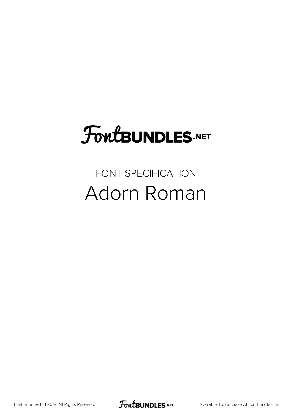## FoutBUNDLES.NET

#### FONT SPECIFICATION Adorn Roman

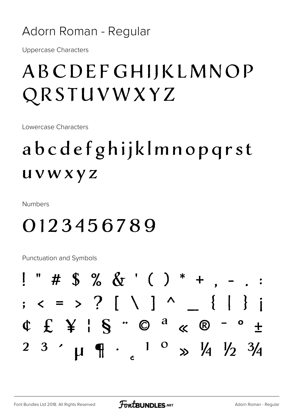#### Adorn Roman - Regular

**Uppercase Characters** 

#### ABCDEFGHIJKLMNOP QRSTUVWXYZ

Lowercase Characters

### abcdefghijklmnopqrst *uvwxyz*

**Numbers** 

#### 0123456789

**Punctuation and Symbols** 

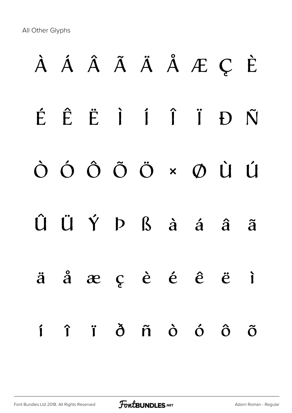All Other Glyphs

# À Á Â Ã Ä Å Æ Ç È É Ê Ë Ì Í Î Ï Ð Ñ Ò Ó Ô Õ Ö × Ø Ù Ú Û Ü Ý Þ ß à á â ã ä å æ ç è é ê ë ì í î ï ð ñ ò ó ô õ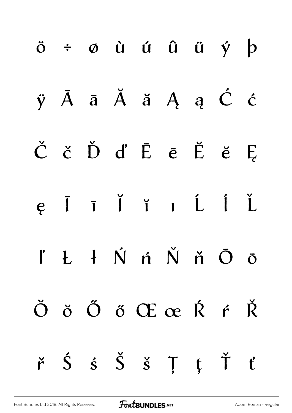|  |  | $\ddot{o}$ $\div$ $\phi$ $\dot{u}$ $\acute{u}$ $\ddot{u}$ $\ddot{u}$ $\dot{y}$ $\dot{p}$                                               |  |  |
|--|--|----------------------------------------------------------------------------------------------------------------------------------------|--|--|
|  |  | $\ddot{y}$ $\bar{A}$ $\ddot{a}$ $\ddot{A}$ $\ddot{a}$ $A$ $a$ $\dot{C}$ $\dot{c}$                                                      |  |  |
|  |  | $\check{C}$ č Ď ď Ē ē Ĕ ĕ Ę                                                                                                            |  |  |
|  |  | e I I I I I L I L                                                                                                                      |  |  |
|  |  | $l' L$ $\acute{\nu}$ $\acute{\nu}$ $\acute{\nu}$ $\acute{\nu}$ $\acute{\nu}$ $\acute{\nu}$ $\acute{\nu}$ $\ddot{\circ}$ $\ddot{\circ}$ |  |  |
|  |  | Ŏ ŏ Ő ő Œ œ Ŕ ŕ Ř                                                                                                                      |  |  |
|  |  | $\check{r}$ $\acute{S}$ $\acute{S}$ $\check{S}$ $\acute{S}$ $\acute{J}$ $\acute{t}$ $\check{t}$                                        |  |  |